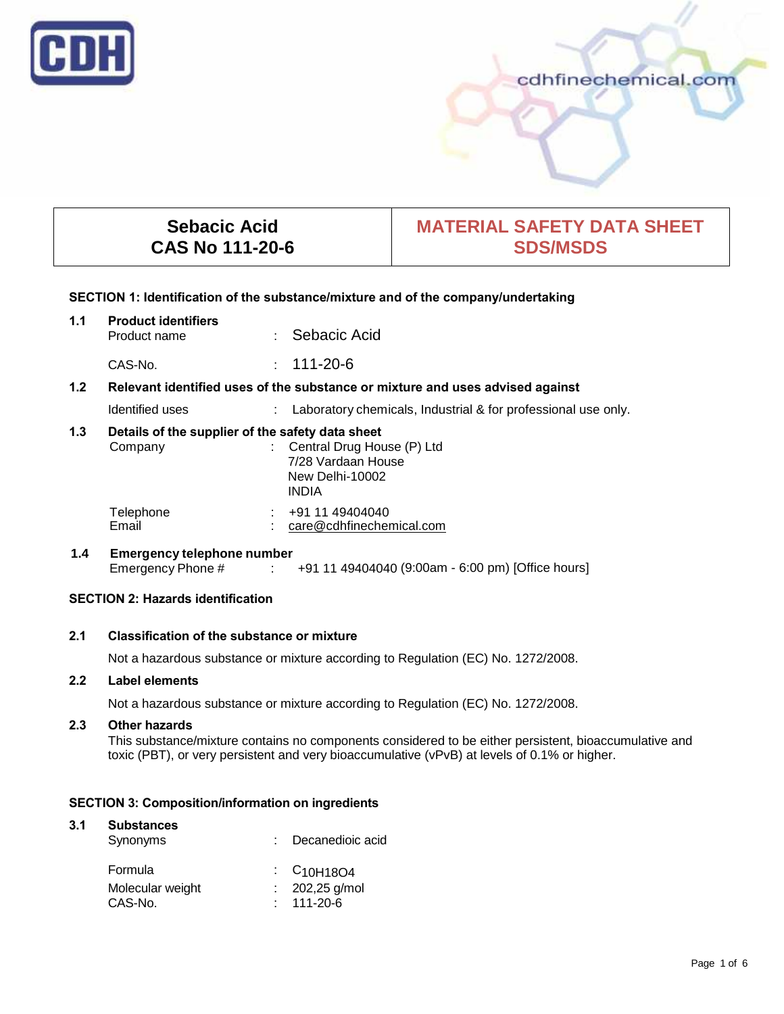

# cdhfinechemical.com

# **Sebacic Acid CAS No 111-20-6**

# **MATERIAL SAFETY DATA SHEET SDS/MSDS**

#### **SECTION 1: Identification of the substance/mixture and of the company/undertaking**

| 1.1 | <b>Product identifiers</b><br>Product name                                    |      | : Sebacic Acid                                                |  |
|-----|-------------------------------------------------------------------------------|------|---------------------------------------------------------------|--|
|     | CAS-No.                                                                       |      | $: 111 - 20 - 6$                                              |  |
| 1.2 | Relevant identified uses of the substance or mixture and uses advised against |      |                                                               |  |
|     | Identified uses                                                               | t in | Laboratory chemicals, Industrial & for professional use only. |  |
| 1.3 | Details of the supplier of the safety data sheet                              |      |                                                               |  |
|     | Company                                                                       |      | Central Drug House (P) Ltd                                    |  |
|     |                                                                               |      | 7/28 Vardaan House                                            |  |
|     |                                                                               |      | New Delhi-10002                                               |  |
|     |                                                                               |      | INDIA                                                         |  |

Telephone : +91 11 49404040<br>Email : care@cdhfinecher

# **1.4 Emergency telephone number**

Emergency Phone # : +91 11 49404040 (9:00am - 6:00 pm) [Office hours]

care@cdhfinechemical.com

#### **SECTION 2: Hazards identification**

#### **2.1 Classification of the substance or mixture**

Not a hazardous substance or mixture according to Regulation (EC) No. 1272/2008.

#### **2.2 Label elements**

Not a hazardous substance or mixture according to Regulation (EC) No. 1272/2008.

#### **2.3 Other hazards**

This substance/mixture contains no components considered to be either persistent, bioaccumulative and toxic (PBT), or very persistent and very bioaccumulative (vPvB) at levels of 0.1% or higher.

#### **SECTION 3: Composition/information on ingredients**

# **3.1 Substances** Synonyms : Decanedioic acid Formula : C<sub>10H18O4</sub> Molecular weight : 202,25 g/mol<br>CAS-No. : 111-20-6  $: 111 - 20 - 6$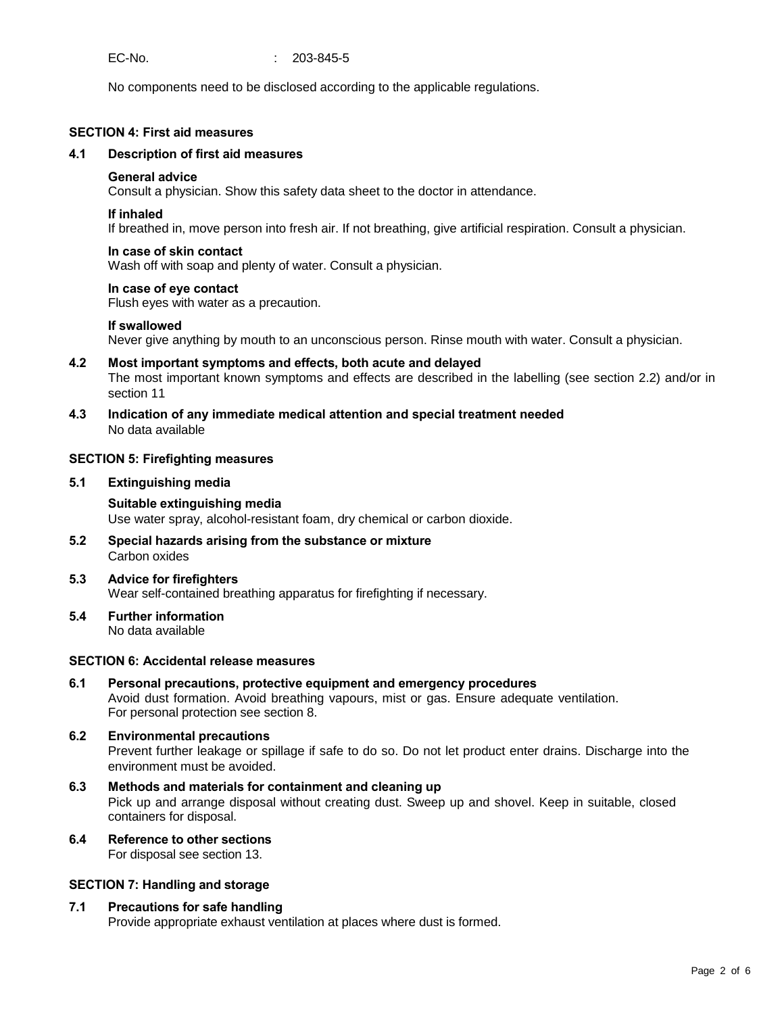EC-No. : 203-845-5

No components need to be disclosed according to the applicable regulations.

#### **SECTION 4: First aid measures**

#### **4.1 Description of first aid measures**

#### **General advice**

Consult a physician. Show this safety data sheet to the doctor in attendance.

#### **If inhaled**

If breathed in, move person into fresh air. If not breathing, give artificial respiration. Consult a physician.

#### **In case of skin contact**

Wash off with soap and plenty of water. Consult a physician.

#### **In case of eye contact**

Flush eyes with water as a precaution.

#### **If swallowed**

Never give anything by mouth to an unconscious person. Rinse mouth with water. Consult a physician.

- **4.2 Most important symptoms and effects, both acute and delayed** The most important known symptoms and effects are described in the labelling (see section 2.2) and/or in section 11
- **4.3 Indication of any immediate medical attention and special treatment needed** No data available

#### **SECTION 5: Firefighting measures**

**5.1 Extinguishing media**

# **Suitable extinguishing media**

Use water spray, alcohol-resistant foam, dry chemical or carbon dioxide.

- **5.2 Special hazards arising from the substance or mixture** Carbon oxides
- **5.3 Advice for firefighters** Wear self-contained breathing apparatus for firefighting if necessary.
- **5.4 Further information** No data available

#### **SECTION 6: Accidental release measures**

**6.1 Personal precautions, protective equipment and emergency procedures** Avoid dust formation. Avoid breathing vapours, mist or gas. Ensure adequate ventilation. For personal protection see section 8.

#### **6.2 Environmental precautions** Prevent further leakage or spillage if safe to do so. Do not let product enter drains. Discharge into the environment must be avoided.

**6.3 Methods and materials for containment and cleaning up** Pick up and arrange disposal without creating dust. Sweep up and shovel. Keep in suitable, closed containers for disposal.

### **6.4 Reference to other sections**

For disposal see section 13.

#### **SECTION 7: Handling and storage**

#### **7.1 Precautions for safe handling**

Provide appropriate exhaust ventilation at places where dust is formed.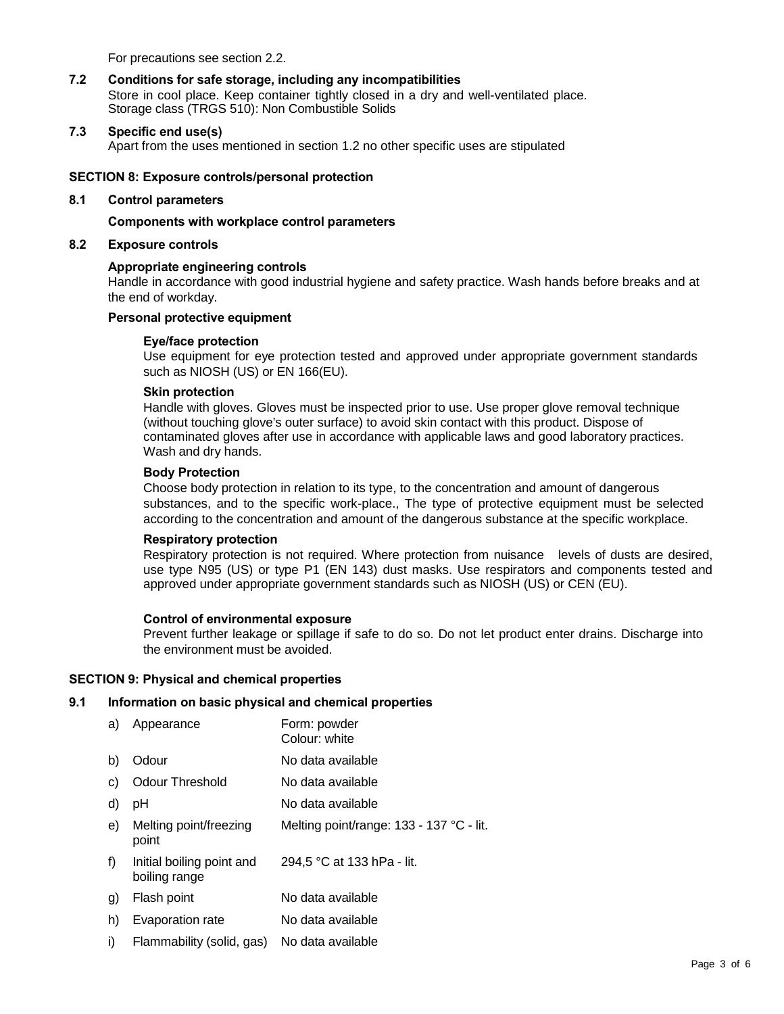For precautions see section 2.2.

#### **7.2 Conditions for safe storage, including any incompatibilities**

Store in cool place. Keep container tightly closed in a dry and well-ventilated place. Storage class (TRGS 510): Non Combustible Solids

#### **7.3 Specific end use(s)**

Apart from the uses mentioned in section 1.2 no other specific uses are stipulated

#### **SECTION 8: Exposure controls/personal protection**

#### **8.1 Control parameters**

**Components with workplace control parameters**

#### **8.2 Exposure controls**

#### **Appropriate engineering controls**

Handle in accordance with good industrial hygiene and safety practice. Wash hands before breaks and at the end of workday.

#### **Personal protective equipment**

#### **Eye/face protection**

Use equipment for eye protection tested and approved under appropriate government standards such as NIOSH (US) or EN 166(EU).

#### **Skin protection**

Handle with gloves. Gloves must be inspected prior to use. Use proper glove removal technique (without touching glove's outer surface) to avoid skin contact with this product. Dispose of contaminated gloves after use in accordance with applicable laws and good laboratory practices. Wash and dry hands.

#### **Body Protection**

Choose body protection in relation to its type, to the concentration and amount of dangerous substances, and to the specific work-place., The type of protective equipment must be selected according to the concentration and amount of the dangerous substance at the specific workplace.

#### **Respiratory protection**

Respiratory protection is not required. Where protection from nuisance levels of dusts are desired, use type N95 (US) or type P1 (EN 143) dust masks. Use respirators and components tested and approved under appropriate government standards such as NIOSH (US) or CEN (EU).

#### **Control of environmental exposure**

Prevent further leakage or spillage if safe to do so. Do not let product enter drains. Discharge into the environment must be avoided.

#### **SECTION 9: Physical and chemical properties**

#### **9.1 Information on basic physical and chemical properties**

| a) | Appearance                                 | Form: powder<br>Colour: white            |
|----|--------------------------------------------|------------------------------------------|
| b) | Odour                                      | No data available                        |
| C) | <b>Odour Threshold</b>                     | No data available                        |
| d) | рH                                         | No data available                        |
| e) | Melting point/freezing<br>point            | Melting point/range: 133 - 137 °C - lit. |
| f) | Initial boiling point and<br>boiling range | 294,5 °C at 133 hPa - lit.               |
| g) | Flash point                                | No data available                        |
| h) | Evaporation rate                           | No data available                        |
| i) | Flammability (solid, gas)                  | No data available                        |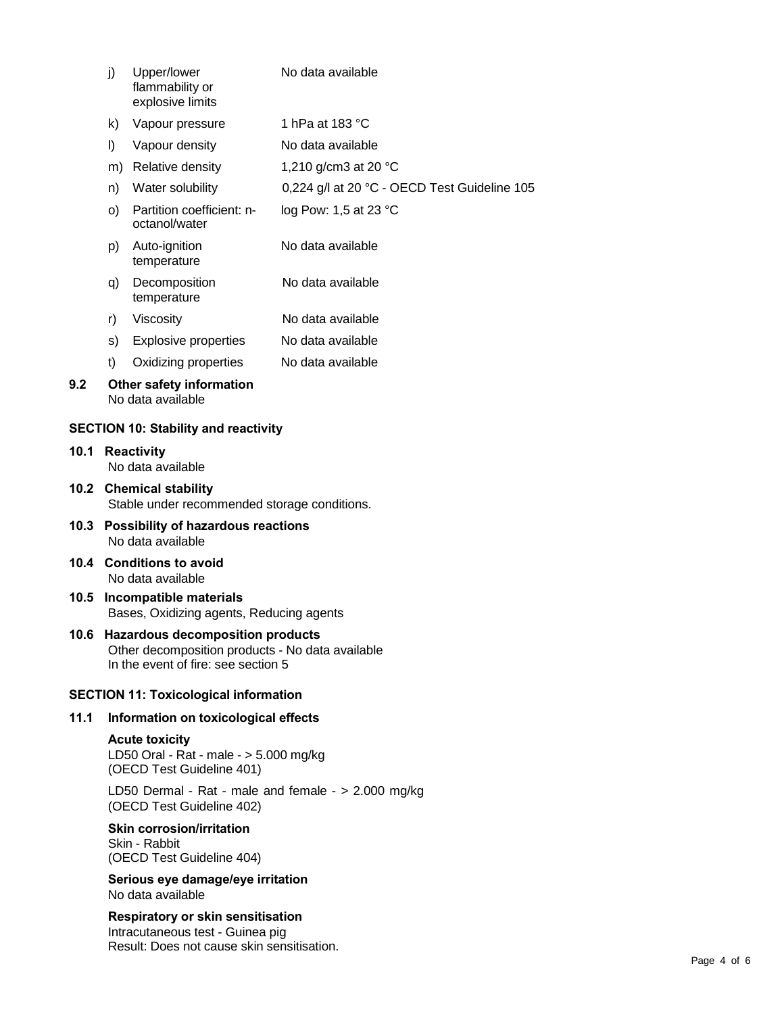|                                              | j)                                                                                                                               | Upper/lower<br>flammability or<br>explosive limits | No data available                            |  |  |  |  |
|----------------------------------------------|----------------------------------------------------------------------------------------------------------------------------------|----------------------------------------------------|----------------------------------------------|--|--|--|--|
|                                              | k)                                                                                                                               | Vapour pressure                                    | 1 hPa at 183 °C                              |  |  |  |  |
|                                              | I)                                                                                                                               | Vapour density                                     | No data available                            |  |  |  |  |
|                                              |                                                                                                                                  | m) Relative density                                | 1,210 g/cm3 at 20 °C                         |  |  |  |  |
|                                              | n)                                                                                                                               | Water solubility                                   | 0,224 g/l at 20 °C - OECD Test Guideline 105 |  |  |  |  |
|                                              | O)                                                                                                                               | Partition coefficient: n-<br>octanol/water         | log Pow: 1,5 at 23 °C                        |  |  |  |  |
|                                              | p)                                                                                                                               | Auto-ignition<br>temperature                       | No data available                            |  |  |  |  |
|                                              | q)                                                                                                                               | Decomposition<br>temperature                       | No data available                            |  |  |  |  |
|                                              | r)                                                                                                                               | Viscosity                                          | No data available                            |  |  |  |  |
|                                              | s)                                                                                                                               | <b>Explosive properties</b>                        | No data available                            |  |  |  |  |
|                                              | t)                                                                                                                               | Oxidizing properties                               | No data available                            |  |  |  |  |
| 9.2                                          | Other safety information<br>No data available                                                                                    |                                                    |                                              |  |  |  |  |
|                                              |                                                                                                                                  | <b>SECTION 10: Stability and reactivity</b>        |                                              |  |  |  |  |
| 10.1                                         | <b>Reactivity</b><br>No data available                                                                                           |                                                    |                                              |  |  |  |  |
|                                              | 10.2 Chemical stability<br>Stable under recommended storage conditions.                                                          |                                                    |                                              |  |  |  |  |
|                                              | 10.3 Possibility of hazardous reactions<br>No data available                                                                     |                                                    |                                              |  |  |  |  |
|                                              | 10.4 Conditions to avoid<br>No data available                                                                                    |                                                    |                                              |  |  |  |  |
| 10.5                                         | Incompatible materials<br>Bases, Oxidizing agents, Reducing agents                                                               |                                                    |                                              |  |  |  |  |
|                                              | 10.6 Hazardous decomposition products<br>Other decomposition products - No data available<br>In the event of fire: see section 5 |                                                    |                                              |  |  |  |  |
| <b>SECTION 11: Toxicological information</b> |                                                                                                                                  |                                                    |                                              |  |  |  |  |
| 11.1                                         | Information on toxicological effects                                                                                             |                                                    |                                              |  |  |  |  |

# **Acute toxicity**

LD50 Oral - Rat - male - > 5.000 mg/kg (OECD Test Guideline 401)

LD50 Dermal - Rat - male and female - > 2.000 mg/kg (OECD Test Guideline 402)

#### **Skin corrosion/irritation** Skin - Rabbit (OECD Test Guideline 404)

**Serious eye damage/eye irritation** No data available

**Respiratory or skin sensitisation** Intracutaneous test - Guinea pig Result: Does not cause skin sensitisation.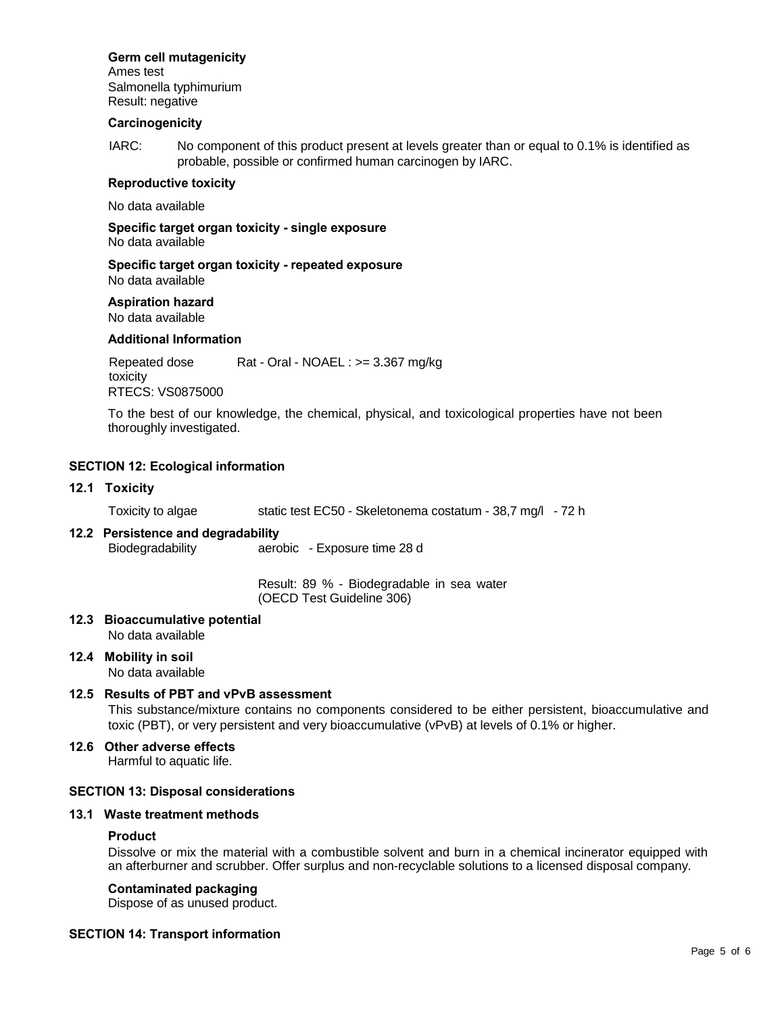#### **Germ cell mutagenicity**

Ames test Salmonella typhimurium Result: negative

#### **Carcinogenicity**

IARC: No component of this product present at levels greater than or equal to 0.1% is identified as probable, possible or confirmed human carcinogen by IARC.

#### **Reproductive toxicity**

No data available

**Specific target organ toxicity - single exposure** No data available

**Specific target organ toxicity - repeated exposure** No data available

#### **Aspiration hazard**

No data available

#### **Additional Information**

Repeated dose Rat - Oral - NOAEL : >= 3.367 mg/kg toxicity RTECS: VS0875000

To the best of our knowledge, the chemical, physical, and toxicological properties have not been thoroughly investigated.

#### **SECTION 12: Ecological information**

#### **12.1 Toxicity**

Toxicity to algae static test EC50 - Skeletonema costatum - 38,7 mg/l - 72 h

# **12.2 Persistence and degradability**

Biodegradability aerobic - Exposure time 28 d

Result: 89 % - Biodegradable in sea water (OECD Test Guideline 306)

**12.3 Bioaccumulative potential** No data available

# **12.4 Mobility in soil**

No data available

#### **12.5 Results of PBT and vPvB assessment**

This substance/mixture contains no components considered to be either persistent, bioaccumulative and toxic (PBT), or very persistent and very bioaccumulative (vPvB) at levels of 0.1% or higher.

### **12.6 Other adverse effects**

Harmful to aquatic life.

#### **SECTION 13: Disposal considerations**

#### **13.1 Waste treatment methods**

#### **Product**

Dissolve or mix the material with a combustible solvent and burn in a chemical incinerator equipped with an afterburner and scrubber. Offer surplus and non-recyclable solutions to a licensed disposal company.

#### **Contaminated packaging**

Dispose of as unused product.

#### **SECTION 14: Transport information**